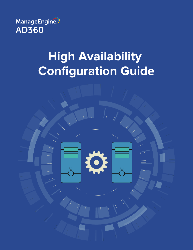

# **High Availability Configuration Guide**

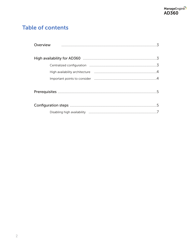# **Table of contents**

| Overview |
|----------|
|          |
|          |
|          |
|          |
|          |
|          |
|          |
|          |
|          |
|          |
|          |
|          |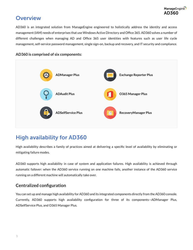## <span id="page-2-0"></span>**Overview**

AD360 is an integrated solution from ManageEngine engineered to holistically address the identity and access management (IAM) needs of enterprises that use Windows Active Directory and Office 365. AD360 solves a number of different challenges when managing AD and Office 365 user identities with features such as user life cycle management, self-service password management, single sign-on, backup and recovery, and IT security and compliance.

**AD360 is comprised of six components:**



# High availability for AD360

High availability describes a family of practices aimed at delivering a specific level of availability by eliminating or mitigating failure modes.

AD360 supports high availability in case of system and application failures. High availability is achieved through automatic failover: when the AD360 service running on one machine fails, another instance of the AD360 service running on a different machine will automatically take over.

## **Centralized configuration**

You can set up and manage high availability for AD360 and its integrated components directly from the AD360 console. Currently, AD360 supports high availability configuration for three of its components—ADManager Plus, ADSelfService Plus, and O365 Manager Plus.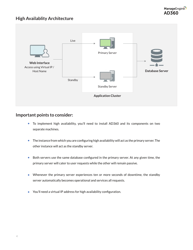### <span id="page-3-0"></span>**High Availablity Architecture**



#### **Important points to consider:**

- To implement high availability, you'll need to install AD360 and its components on two separate machines.
- The instance from which you are configuring high availability will act as the primary server. The other instance will act as the standby server.
- Both servers use the same database configured in the primary server. At any given time, the  $\bullet$ primary server will cater to user requests while the other will remain passive.
- Whenever the primary server experiences ten or more seconds of downtime, the standby server automatically becomes operational and services all requests.
- You'll need a virtual IP address for high availability configuration.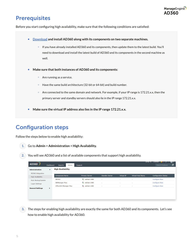## <span id="page-4-0"></span>**Prerequisites**

Before you start configuring high availability, make sure that the following conditions are satisfied:

- **[Download](https://www.manageengine.com/active-directory-360/download.html?source=pdf) and install AD360 along with its components on two separate machines.**   $\bullet$ 
	- If you have already installed AD360 and its components, then update them to the latest build. You'll need to download and install the latest build of AD360 and its components in the second machine as well.
- **Make sure that both instances of AD360 and its components:**
	- Are running as a service.  $\bullet$  .
	- Have the same build architecture (32-bit or 64-bit) and build number.
	- $\bullet$  Are connected to the same domain and network. For example, if your IP range is 172.21.x.x, then the primary server and standby servers should also lie in the IP range 172.21.x.x.
- **Make sure the virtual IP address also lies in the IP range 172.21.x.x.**

# Configuration steps

Follow the steps below to enable high availability:

**1.** Go to **Admin > Administration > High Availability.**



| <b>Administration</b>    | $\cdot$ | <b>High Availability</b> |                           |                       |                   |                          |                             |
|--------------------------|---------|--------------------------|---------------------------|-----------------------|-------------------|--------------------------|-----------------------------|
| AD360 Integration        |         |                          |                           |                       |                   |                          |                             |
| <b>High Availability</b> |         | <b>Component Name</b>    | <b>Primary Server</b>     | <b>Standby Server</b> | <b>Virtual IP</b> | <b>Virtual Host Name</b> | <b>Configuration Status</b> |
| Auto Backup/Update       |         | AD360                    | $\frac{1}{2}$ radhak-1480 | $\sim$                | $\mathbf{r}$      | $\sim$                   | <b>Configure Now</b>        |
| Logon Settings           |         | <b>ADManager Plus</b>    | $\frac{1}{2}$ radhak-1480 | <b>.</b>              | ÷                 | $\sim$                   | <b>Configure Now</b>        |
|                          |         | Office365 Manager Plus   | L radhak-1480             | $\sim$                | $\sim$            | $\sim$                   | <b>Configure Now</b>        |
| <b>General Settings</b>  | ٠       |                          |                           |                       |                   |                          |                             |
|                          |         |                          |                           |                       |                   |                          |                             |
|                          |         |                          |                           |                       |                   |                          |                             |

**3.** The steps for enabling high availability are exactly the same for both AD360 and its components. Let's see how to enable high availability for AD360.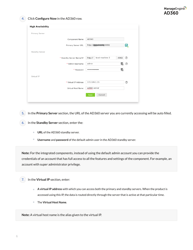#### **4.** Click **Configure Now** in the AD360 row.

| <b>High Availability</b> |                                     |                |
|--------------------------|-------------------------------------|----------------|
| Primary Server           |                                     |                |
| Component Name           | AD360                               |                |
| Primary Server URL       |                                     | $rac{AD}{360}$ |
| Standby Server           |                                     |                |
| * Standby Server Name/IP | local-machine-2<br>http://<br>:8082 | ඹ              |
| * Admin Username         | admin<br>٣,                         | ℗              |
| * Password               | 单<br>                               |                |
| Virtual IP               |                                     |                |
| * Virtual IP Address     | 172.169.1.15                        | ℗              |
| Virtual Host Name        | ad360-server                        |                |
|                          | Cancel<br>Save                      |                |

**5.** In the **Primary Server** section, the URL of the AD360 server you are currently accessing will be auto filled.

- **6.** In the **Standby Server** section, enter the:
	- **URL** of the AD360 standby server.
	- $\bullet$ **Username** and **password** of the default admin user in the AD360 standby server.

**Note:** For the integrated components, instead of using the default admin account you can provide the credentials of an account that has full access to all the features and settings of the component. For example, an account with super administrator privilege.

- **7.** In the **Virtual IP** section, enter:
	- **A virtual IP address** with which you can access both the primary and standby servers. When the product is accessed using this IP, the data is routed directly through the server that is active at that particular time.
	- The **Virtual Host Name**.  $\bullet$

**Note:** A virtual host name is the alias given to the virtual IP.